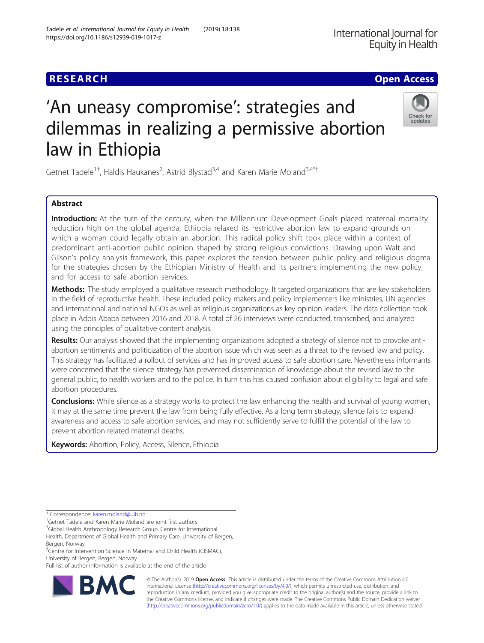# **RESEARCH CHE Open Access**

# 'An uneasy compromise': strategies and dilemmas in realizing a permissive abortion law in Ethiopia

Getnet Tadele<sup>1†</sup>, Haldis Haukanes<sup>2</sup>, Astrid Blystad<sup>3,4</sup> and Karen Marie Moland<sup>3,4\*†</sup>

# Abstract

Introduction: At the turn of the century, when the Millennium Development Goals placed maternal mortality reduction high on the global agenda, Ethiopia relaxed its restrictive abortion law to expand grounds on which a woman could legally obtain an abortion. This radical policy shift took place within a context of predominant anti-abortion public opinion shaped by strong religious convictions. Drawing upon Walt and Gilson's policy analysis framework, this paper explores the tension between public policy and religious dogma for the strategies chosen by the Ethiopian Ministry of Health and its partners implementing the new policy, and for access to safe abortion services.

Methods: The study employed a qualitative research methodology. It targeted organizations that are key stakeholders in the field of reproductive health. These included policy makers and policy implementers like ministries, UN agencies and international and national NGOs as well as religious organizations as key opinion leaders. The data collection took place in Addis Ababa between 2016 and 2018. A total of 26 interviews were conducted, transcribed, and analyzed using the principles of qualitative content analysis.

Results: Our analysis showed that the implementing organizations adopted a strategy of silence not to provoke antiabortion sentiments and politicization of the abortion issue which was seen as a threat to the revised law and policy. This strategy has facilitated a rollout of services and has improved access to safe abortion care. Nevertheless informants were concerned that the silence strategy has prevented dissemination of knowledge about the revised law to the general public, to health workers and to the police. In turn this has caused confusion about eligibility to legal and safe abortion procedures.

**Conclusions:** While silence as a strategy works to protect the law enhancing the health and survival of young women, it may at the same time prevent the law from being fully effective. As a long term strategy, silence fails to expand awareness and access to safe abortion services, and may not sufficiently serve to fulfill the potential of the law to prevent abortion related maternal deaths.

Keywords: Abortion, Policy, Access, Silence, Ethiopia

RA

<sup>3</sup>Global Health Anthropology Research Group, Centre for International Health, Department of Global Health and Primary Care, University of Bergen,

4 Centre for Intervention Science in Maternal and Child Health (CISMAC), University of Bergen, Bergen, Norway

© The Author(s). 2019 **Open Access** This article is distributed under the terms of the Creative Commons Attribution 4.0 International License [\(http://creativecommons.org/licenses/by/4.0/](http://creativecommons.org/licenses/by/4.0/)), which permits unrestricted use, distribution, and reproduction in any medium, provided you give appropriate credit to the original author(s) and the source, provide a link to the Creative Commons license, and indicate if changes were made. The Creative Commons Public Domain Dedication waiver [\(http://creativecommons.org/publicdomain/zero/1.0/](http://creativecommons.org/publicdomain/zero/1.0/)) applies to the data made available in this article, unless otherwise stated.

https://doi.org/10.1186/s12939-019-1017-z







<sup>\*</sup> Correspondence: [karen.moland@uib.no](mailto:karen.moland@uib.no) †

Getnet Tadele and Karen Marie Moland are joint first authors

Bergen, Norway

Full list of author information is available at the end of the article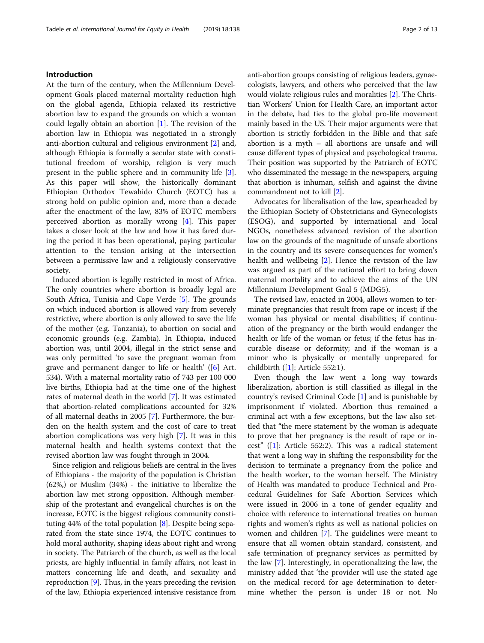# Introduction

At the turn of the century, when the Millennium Development Goals placed maternal mortality reduction high on the global agenda, Ethiopia relaxed its restrictive abortion law to expand the grounds on which a woman could legally obtain an abortion [\[1](#page-12-0)]. The revision of the abortion law in Ethiopia was negotiated in a strongly anti-abortion cultural and religious environment [\[2](#page-12-0)] and, although Ethiopia is formally a secular state with constitutional freedom of worship, religion is very much present in the public sphere and in community life [\[3](#page-12-0)]. As this paper will show, the historically dominant Ethiopian Orthodox Tewahido Church (EOTC) has a strong hold on public opinion and, more than a decade after the enactment of the law, 83% of EOTC members perceived abortion as morally wrong [\[4](#page-12-0)]. This paper takes a closer look at the law and how it has fared during the period it has been operational, paying particular attention to the tension arising at the intersection between a permissive law and a religiously conservative society.

Induced abortion is legally restricted in most of Africa. The only countries where abortion is broadly legal are South Africa, Tunisia and Cape Verde [\[5](#page-12-0)]. The grounds on which induced abortion is allowed vary from severely restrictive, where abortion is only allowed to save the life of the mother (e.g. Tanzania), to abortion on social and economic grounds (e.g. Zambia). In Ethiopia, induced abortion was, until 2004, illegal in the strict sense and was only permitted 'to save the pregnant woman from grave and permanent danger to life or health' ([\[6](#page-12-0)] Art. 534). With a maternal mortality ratio of 743 per 100 000 live births, Ethiopia had at the time one of the highest rates of maternal death in the world [[7\]](#page-12-0). It was estimated that abortion-related complications accounted for 32% of all maternal deaths in 2005 [\[7](#page-12-0)]. Furthermore, the burden on the health system and the cost of care to treat abortion complications was very high [[7](#page-12-0)]. It was in this maternal health and health systems context that the revised abortion law was fought through in 2004.

Since religion and religious beliefs are central in the lives of Ethiopians - the majority of the population is Christian (62%,) or Muslim (34%) - the initiative to liberalize the abortion law met strong opposition. Although membership of the protestant and evangelical churches is on the increase, EOTC is the biggest religious community constituting 44% of the total population  $[8]$ . Despite being separated from the state since 1974, the EOTC continues to hold moral authority, shaping ideas about right and wrong in society. The Patriarch of the church, as well as the local priests, are highly influential in family affairs, not least in matters concerning life and death, and sexuality and reproduction [[9\]](#page-12-0). Thus, in the years preceding the revision of the law, Ethiopia experienced intensive resistance from anti-abortion groups consisting of religious leaders, gynaecologists, lawyers, and others who perceived that the law would violate religious rules and moralities [\[2\]](#page-12-0). The Christian Workers' Union for Health Care, an important actor in the debate, had ties to the global pro-life movement mainly based in the US. Their major arguments were that abortion is strictly forbidden in the Bible and that safe abortion is a myth – all abortions are unsafe and will cause different types of physical and psychological trauma. Their position was supported by the Patriarch of EOTC who disseminated the message in the newspapers, arguing that abortion is inhuman, selfish and against the divine commandment not to kill [\[2](#page-12-0)].

Advocates for liberalisation of the law, spearheaded by the Ethiopian Society of Obstetricians and Gynecologists (ESOG), and supported by international and local NGOs, nonetheless advanced revision of the abortion law on the grounds of the magnitude of unsafe abortions in the country and its severe consequences for women's health and wellbeing [[2\]](#page-12-0). Hence the revision of the law was argued as part of the national effort to bring down maternal mortality and to achieve the aims of the UN Millennium Development Goal 5 (MDG5).

The revised law, enacted in 2004, allows women to terminate pregnancies that result from rape or incest; if the woman has physical or mental disabilities; if continuation of the pregnancy or the birth would endanger the health or life of the woman or fetus; if the fetus has incurable disease or deformity; and if the woman is a minor who is physically or mentally unprepared for childbirth ([[1\]](#page-12-0): Article 552:1).

Even though the law went a long way towards liberalization, abortion is still classified as illegal in the country's revised Criminal Code [\[1](#page-12-0)] and is punishable by imprisonment if violated. Abortion thus remained a criminal act with a few exceptions, but the law also settled that "the mere statement by the woman is adequate to prove that her pregnancy is the result of rape or incest" ([\[1](#page-12-0)]: Article 552:2). This was a radical statement that went a long way in shifting the responsibility for the decision to terminate a pregnancy from the police and the health worker, to the woman herself. The Ministry of Health was mandated to produce Technical and Procedural Guidelines for Safe Abortion Services which were issued in 2006 in a tone of gender equality and choice with reference to international treaties on human rights and women's rights as well as national policies on women and children [\[7](#page-12-0)]. The guidelines were meant to ensure that all women obtain standard, consistent, and safe termination of pregnancy services as permitted by the law [[7\]](#page-12-0). Interestingly, in operationalizing the law, the ministry added that 'the provider will use the stated age on the medical record for age determination to determine whether the person is under 18 or not. No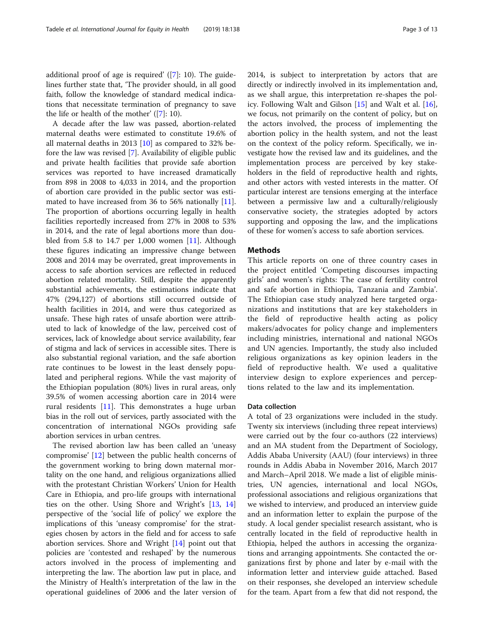additional proof of age is required' ([\[7\]](#page-12-0): 10). The guidelines further state that, 'The provider should, in all good faith, follow the knowledge of standard medical indications that necessitate termination of pregnancy to save the life or health of the mother' ([\[7](#page-12-0)]: 10).

A decade after the law was passed, abortion-related maternal deaths were estimated to constitute 19.6% of all maternal deaths in 2013 [\[10\]](#page-12-0) as compared to 32% before the law was revised [[7\]](#page-12-0). Availability of eligible public and private health facilities that provide safe abortion services was reported to have increased dramatically from 898 in 2008 to 4,033 in 2014, and the proportion of abortion care provided in the public sector was estimated to have increased from 36 to 56% nationally [\[11](#page-12-0)]. The proportion of abortions occurring legally in health facilities reportedly increased from 27% in 2008 to 53% in 2014, and the rate of legal abortions more than doubled from 5.8 to 14.7 per 1,000 women  $[11]$  $[11]$ . Although these figures indicating an impressive change between 2008 and 2014 may be overrated, great improvements in access to safe abortion services are reflected in reduced abortion related mortality. Still, despite the apparently substantial achievements, the estimations indicate that 47% (294,127) of abortions still occurred outside of health facilities in 2014, and were thus categorized as unsafe. These high rates of unsafe abortion were attributed to lack of knowledge of the law, perceived cost of services, lack of knowledge about service availability, fear of stigma and lack of services in accessible sites. There is also substantial regional variation, and the safe abortion rate continues to be lowest in the least densely populated and peripheral regions. While the vast majority of the Ethiopian population (80%) lives in rural areas, only 39.5% of women accessing abortion care in 2014 were rural residents [[11\]](#page-12-0). This demonstrates a huge urban bias in the roll out of services, partly associated with the concentration of international NGOs providing safe abortion services in urban centres.

The revised abortion law has been called an 'uneasy compromise' [[12\]](#page-12-0) between the public health concerns of the government working to bring down maternal mortality on the one hand, and religious organizations allied with the protestant Christian Workers' Union for Health Care in Ethiopia, and pro-life groups with international ties on the other. Using Shore and Wright's [\[13](#page-12-0), [14](#page-12-0)] perspective of the 'social life of policy' we explore the implications of this 'uneasy compromise' for the strategies chosen by actors in the field and for access to safe abortion services. Shore and Wright [\[14\]](#page-12-0) point out that policies are 'contested and reshaped' by the numerous actors involved in the process of implementing and interpreting the law. The abortion law put in place, and the Ministry of Health's interpretation of the law in the operational guidelines of 2006 and the later version of 2014, is subject to interpretation by actors that are directly or indirectly involved in its implementation and, as we shall argue, this interpretation re-shapes the policy. Following Walt and Gilson [\[15](#page-12-0)] and Walt et al. [\[16](#page-12-0)], we focus, not primarily on the content of policy, but on the actors involved, the process of implementing the abortion policy in the health system, and not the least on the context of the policy reform. Specifically, we investigate how the revised law and its guidelines, and the implementation process are perceived by key stakeholders in the field of reproductive health and rights, and other actors with vested interests in the matter. Of particular interest are tensions emerging at the interface between a permissive law and a culturally/religiously conservative society, the strategies adopted by actors supporting and opposing the law, and the implications of these for women's access to safe abortion services.

# Methods

This article reports on one of three country cases in the project entitled 'Competing discourses impacting girls' and women's rights: The case of fertility control and safe abortion in Ethiopia, Tanzania and Zambia'. The Ethiopian case study analyzed here targeted organizations and institutions that are key stakeholders in the field of reproductive health acting as policy makers/advocates for policy change and implementers including ministries, international and national NGOs and UN agencies. Importantly, the study also included religious organizations as key opinion leaders in the field of reproductive health. We used a qualitative interview design to explore experiences and perceptions related to the law and its implementation.

# Data collection

A total of 23 organizations were included in the study. Twenty six interviews (including three repeat interviews) were carried out by the four co-authors (22 interviews) and an MA student from the Department of Sociology, Addis Ababa University (AAU) (four interviews) in three rounds in Addis Ababa in November 2016, March 2017 and March–April 2018. We made a list of eligible ministries, UN agencies, international and local NGOs, professional associations and religious organizations that we wished to interview, and produced an interview guide and an information letter to explain the purpose of the study. A local gender specialist research assistant, who is centrally located in the field of reproductive health in Ethiopia, helped the authors in accessing the organizations and arranging appointments. She contacted the organizations first by phone and later by e-mail with the information letter and interview guide attached. Based on their responses, she developed an interview schedule for the team. Apart from a few that did not respond, the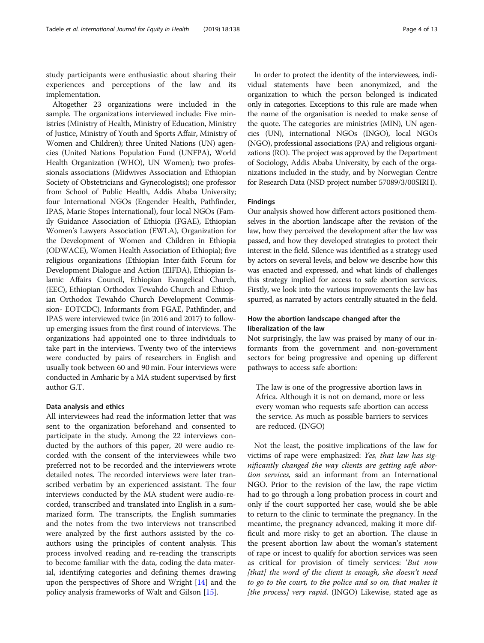study participants were enthusiastic about sharing their experiences and perceptions of the law and its implementation.

Altogether 23 organizations were included in the sample. The organizations interviewed include: Five ministries (Ministry of Health, Ministry of Education, Ministry of Justice, Ministry of Youth and Sports Affair, Ministry of Women and Children); three United Nations (UN) agencies (United Nations Population Fund (UNFPA), World Health Organization (WHO), UN Women); two professionals associations (Midwives Association and Ethiopian Society of Obstetricians and Gynecologists); one professor from School of Public Health, Addis Ababa University; four International NGOs (Engender Health, Pathfinder, IPAS, Marie Stopes International), four local NGOs (Family Guidance Association of Ethiopia (FGAE), Ethiopian Women's Lawyers Association (EWLA), Organization for the Development of Women and Children in Ethiopia (ODWACE), Women Health Association of Ethiopia); five religious organizations (Ethiopian Inter-faith Forum for Development Dialogue and Action (EIFDA), Ethiopian Islamic Affairs Council, Ethiopian Evangelical Church, (EEC), Ethiopian Orthodox Tewahdo Church and Ethiopian Orthodox Tewahdo Church Development Commission- EOTCDC). Informants from FGAE, Pathfinder, and IPAS were interviewed twice (in 2016 and 2017) to followup emerging issues from the first round of interviews. The organizations had appointed one to three individuals to take part in the interviews. Twenty two of the interviews were conducted by pairs of researchers in English and usually took between 60 and 90 min. Four interviews were conducted in Amharic by a MA student supervised by first author G.T.

# Data analysis and ethics

All interviewees had read the information letter that was sent to the organization beforehand and consented to participate in the study. Among the 22 interviews conducted by the authors of this paper, 20 were audio recorded with the consent of the interviewees while two preferred not to be recorded and the interviewers wrote detailed notes. The recorded interviews were later transcribed verbatim by an experienced assistant. The four interviews conducted by the MA student were audio-recorded, transcribed and translated into English in a summarized form. The transcripts, the English summaries and the notes from the two interviews not transcribed were analyzed by the first authors assisted by the coauthors using the principles of content analysis. This process involved reading and re-reading the transcripts to become familiar with the data, coding the data material, identifying categories and defining themes drawing upon the perspectives of Shore and Wright [[14\]](#page-12-0) and the policy analysis frameworks of Walt and Gilson [[15](#page-12-0)].

In order to protect the identity of the interviewees, individual statements have been anonymized, and the organization to which the person belonged is indicated only in categories. Exceptions to this rule are made when the name of the organisation is needed to make sense of the quote. The categories are ministries (MIN), UN agencies (UN), international NGOs (INGO), local NGOs (NGO), professional associations (PA) and religious organizations (RO). The project was approved by the Department of Sociology, Addis Ababa University, by each of the organizations included in the study, and by Norwegian Centre for Research Data (NSD project number 57089/3/00SIRH).

# Findings

Our analysis showed how different actors positioned themselves in the abortion landscape after the revision of the law, how they perceived the development after the law was passed, and how they developed strategies to protect their interest in the field. Silence was identified as a strategy used by actors on several levels, and below we describe how this was enacted and expressed, and what kinds of challenges this strategy implied for access to safe abortion services. Firstly, we look into the various improvements the law has spurred, as narrated by actors centrally situated in the field.

# How the abortion landscape changed after the liberalization of the law

Not surprisingly, the law was praised by many of our informants from the government and non-government sectors for being progressive and opening up different pathways to access safe abortion:

The law is one of the progressive abortion laws in Africa. Although it is not on demand, more or less every woman who requests safe abortion can access the service. As much as possible barriers to services are reduced. (INGO)

Not the least, the positive implications of the law for victims of rape were emphasized: Yes, that law has significantly changed the way clients are getting safe abortion services, said an informant from an International NGO. Prior to the revision of the law, the rape victim had to go through a long probation process in court and only if the court supported her case, would she be able to return to the clinic to terminate the pregnancy. In the meantime, the pregnancy advanced, making it more difficult and more risky to get an abortion. The clause in the present abortion law about the woman's statement of rape or incest to qualify for abortion services was seen as critical for provision of timely services: 'But now [that] the word of the client is enough, she doesn't need to go to the court, to the police and so on, that makes it [the process] very rapid.  $(INGO)$  Likewise, stated age as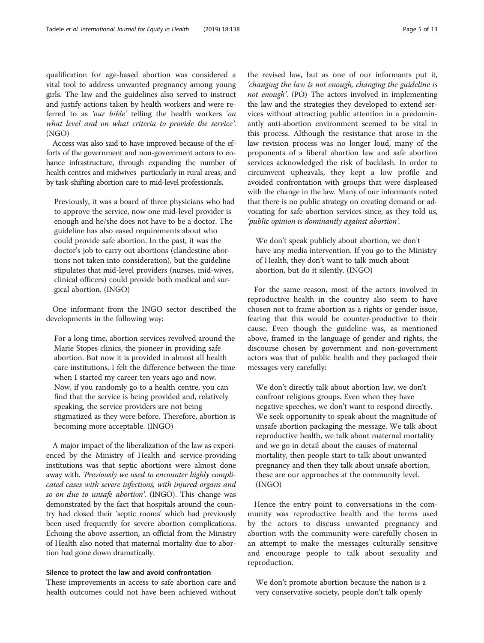qualification for age-based abortion was considered a vital tool to address unwanted pregnancy among young girls. The law and the guidelines also served to instruct and justify actions taken by health workers and were referred to as 'our bible' telling the health workers 'on what level and on what criteria to provide the service'. (NGO)

Access was also said to have improved because of the efforts of the government and non-government actors to enhance infrastructure, through expanding the number of health centres and midwives particularly in rural areas, and by task-shifting abortion care to mid-level professionals.

Previously, it was a board of three physicians who had to approve the service, now one mid-level provider is enough and he/she does not have to be a doctor. The guideline has also eased requirements about who could provide safe abortion. In the past, it was the doctor's job to carry out abortions (clandestine abortions not taken into consideration), but the guideline stipulates that mid-level providers (nurses, mid-wives, clinical officers) could provide both medical and surgical abortion. (INGO)

One informant from the INGO sector described the developments in the following way:

For a long time, abortion services revolved around the Marie Stopes clinics, the pioneer in providing safe abortion. But now it is provided in almost all health care institutions. I felt the difference between the time when I started my career ten years ago and now. Now, if you randomly go to a health centre, you can find that the service is being provided and, relatively speaking, the service providers are not being stigmatized as they were before. Therefore, abortion is becoming more acceptable. (INGO)

A major impact of the liberalization of the law as experienced by the Ministry of Health and service-providing institutions was that septic abortions were almost done away with. 'Previously we used to encounter highly complicated cases with severe infections, with injured organs and so on due to unsafe abortion'. (INGO). This change was demonstrated by the fact that hospitals around the country had closed their 'septic rooms' which had previously been used frequently for severe abortion complications. Echoing the above assertion, an official from the Ministry of Health also noted that maternal mortality due to abortion had gone down dramatically.

# Silence to protect the law and avoid confrontation

These improvements in access to safe abortion care and health outcomes could not have been achieved without

the revised law, but as one of our informants put it, 'changing the law is not enough, changing the guideline is not enough'. (PO) The actors involved in implementing the law and the strategies they developed to extend services without attracting public attention in a predominantly anti-abortion environment seemed to be vital in this process. Although the resistance that arose in the law revision process was no longer loud, many of the proponents of a liberal abortion law and safe abortion services acknowledged the risk of backlash. In order to circumvent upheavals, they kept a low profile and avoided confrontation with groups that were displeased with the change in the law. Many of our informants noted that there is no public strategy on creating demand or advocating for safe abortion services since, as they told us, 'public opinion is dominantly against abortion'.

We don't speak publicly about abortion, we don't have any media intervention. If you go to the Ministry of Health, they don't want to talk much about abortion, but do it silently. (INGO)

For the same reason, most of the actors involved in reproductive health in the country also seem to have chosen not to frame abortion as a rights or gender issue, fearing that this would be counter-productive to their cause. Even though the guideline was, as mentioned above, framed in the language of gender and rights, the discourse chosen by government and non-government actors was that of public health and they packaged their messages very carefully:

We don't directly talk about abortion law, we don't confront religious groups. Even when they have negative speeches, we don't want to respond directly. We seek opportunity to speak about the magnitude of unsafe abortion packaging the message. We talk about reproductive health, we talk about maternal mortality and we go in detail about the causes of maternal mortality, then people start to talk about unwanted pregnancy and then they talk about unsafe abortion, these are our approaches at the community level. (INGO)

Hence the entry point to conversations in the community was reproductive health and the terms used by the actors to discuss unwanted pregnancy and abortion with the community were carefully chosen in an attempt to make the messages culturally sensitive and encourage people to talk about sexuality and reproduction.

We don't promote abortion because the nation is a very conservative society, people don't talk openly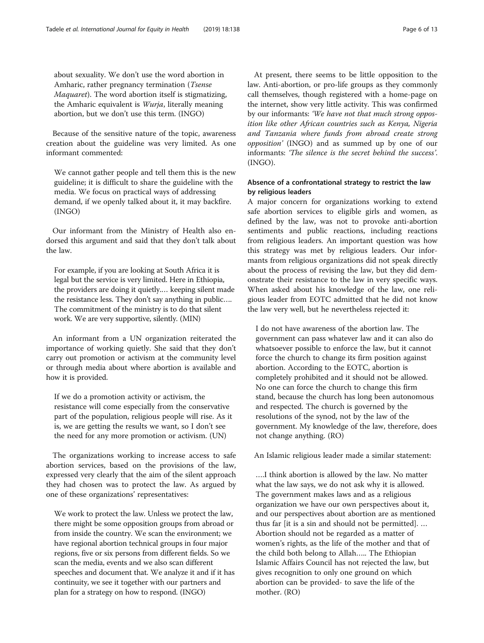about sexuality. We don't use the word abortion in Amharic, rather pregnancy termination (Tsense Maquaret). The word abortion itself is stigmatizing, the Amharic equivalent is Wurja, literally meaning abortion, but we don't use this term. (INGO)

Because of the sensitive nature of the topic, awareness creation about the guideline was very limited. As one informant commented:

We cannot gather people and tell them this is the new guideline; it is difficult to share the guideline with the media. We focus on practical ways of addressing demand, if we openly talked about it, it may backfire. (INGO)

Our informant from the Ministry of Health also endorsed this argument and said that they don't talk about the law.

For example, if you are looking at South Africa it is legal but the service is very limited. Here in Ethiopia, the providers are doing it quietly.… keeping silent made the resistance less. They don't say anything in public…. The commitment of the ministry is to do that silent work. We are very supportive, silently. (MIN)

An informant from a UN organization reiterated the importance of working quietly. She said that they don't carry out promotion or activism at the community level or through media about where abortion is available and how it is provided.

If we do a promotion activity or activism, the resistance will come especially from the conservative part of the population, religious people will rise. As it is, we are getting the results we want, so I don't see the need for any more promotion or activism. (UN)

The organizations working to increase access to safe abortion services, based on the provisions of the law, expressed very clearly that the aim of the silent approach they had chosen was to protect the law. As argued by one of these organizations' representatives:

We work to protect the law. Unless we protect the law, there might be some opposition groups from abroad or from inside the country. We scan the environment; we have regional abortion technical groups in four major regions, five or six persons from different fields. So we scan the media, events and we also scan different speeches and document that. We analyze it and if it has continuity, we see it together with our partners and plan for a strategy on how to respond. (INGO)

At present, there seems to be little opposition to the law. Anti-abortion, or pro-life groups as they commonly call themselves, though registered with a home-page on the internet, show very little activity. This was confirmed by our informants: 'We have not that much strong opposition like other African countries such as Kenya, Nigeria and Tanzania where funds from abroad create strong opposition' (INGO) and as summed up by one of our informants: 'The silence is the secret behind the success'. (INGO).

# Absence of a confrontational strategy to restrict the law by religious leaders

A major concern for organizations working to extend safe abortion services to eligible girls and women, as defined by the law, was not to provoke anti-abortion sentiments and public reactions, including reactions from religious leaders. An important question was how this strategy was met by religious leaders. Our informants from religious organizations did not speak directly about the process of revising the law, but they did demonstrate their resistance to the law in very specific ways. When asked about his knowledge of the law, one religious leader from EOTC admitted that he did not know the law very well, but he nevertheless rejected it:

I do not have awareness of the abortion law. The government can pass whatever law and it can also do whatsoever possible to enforce the law, but it cannot force the church to change its firm position against abortion. According to the EOTC, abortion is completely prohibited and it should not be allowed. No one can force the church to change this firm stand, because the church has long been autonomous and respected. The church is governed by the resolutions of the synod, not by the law of the government. My knowledge of the law, therefore, does not change anything. (RO)

An Islamic religious leader made a similar statement:

….I think abortion is allowed by the law. No matter what the law says, we do not ask why it is allowed. The government makes laws and as a religious organization we have our own perspectives about it, and our perspectives about abortion are as mentioned thus far [it is a sin and should not be permitted]. … Abortion should not be regarded as a matter of women's rights, as the life of the mother and that of the child both belong to Allah….. The Ethiopian Islamic Affairs Council has not rejected the law, but gives recognition to only one ground on which abortion can be provided- to save the life of the mother. (RO)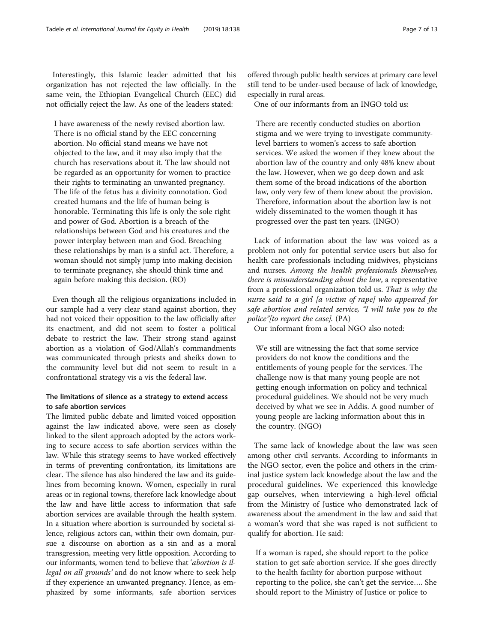Interestingly, this Islamic leader admitted that his organization has not rejected the law officially. In the same vein, the Ethiopian Evangelical Church (EEC) did not officially reject the law. As one of the leaders stated:

I have awareness of the newly revised abortion law. There is no official stand by the EEC concerning abortion. No official stand means we have not objected to the law, and it may also imply that the church has reservations about it. The law should not be regarded as an opportunity for women to practice their rights to terminating an unwanted pregnancy. The life of the fetus has a divinity connotation. God created humans and the life of human being is honorable. Terminating this life is only the sole right and power of God. Abortion is a breach of the relationships between God and his creatures and the power interplay between man and God. Breaching these relationships by man is a sinful act. Therefore, a woman should not simply jump into making decision to terminate pregnancy, she should think time and again before making this decision. (RO)

Even though all the religious organizations included in our sample had a very clear stand against abortion, they had not voiced their opposition to the law officially after its enactment, and did not seem to foster a political debate to restrict the law. Their strong stand against abortion as a violation of God/Allah's commandments was communicated through priests and sheiks down to the community level but did not seem to result in a confrontational strategy vis a vis the federal law.

# The limitations of silence as a strategy to extend access to safe abortion services

The limited public debate and limited voiced opposition against the law indicated above, were seen as closely linked to the silent approach adopted by the actors working to secure access to safe abortion services within the law. While this strategy seems to have worked effectively in terms of preventing confrontation, its limitations are clear. The silence has also hindered the law and its guidelines from becoming known. Women, especially in rural areas or in regional towns, therefore lack knowledge about the law and have little access to information that safe abortion services are available through the health system. In a situation where abortion is surrounded by societal silence, religious actors can, within their own domain, pursue a discourse on abortion as a sin and as a moral transgression, meeting very little opposition. According to our informants, women tend to believe that 'abortion is illegal on all grounds' and do not know where to seek help if they experience an unwanted pregnancy. Hence, as emphasized by some informants, safe abortion services

offered through public health services at primary care level still tend to be under-used because of lack of knowledge, especially in rural areas.

One of our informants from an INGO told us:

There are recently conducted studies on abortion stigma and we were trying to investigate communitylevel barriers to women's access to safe abortion services. We asked the women if they knew about the abortion law of the country and only 48% knew about the law. However, when we go deep down and ask them some of the broad indications of the abortion law, only very few of them knew about the provision. Therefore, information about the abortion law is not widely disseminated to the women though it has progressed over the past ten years. (INGO)

Lack of information about the law was voiced as a problem not only for potential service users but also for health care professionals including midwives, physicians and nurses. Among the health professionals themselves, there is misunderstanding about the law, a representative from a professional organization told us. That is why the nurse said to a girl [a victim of rape] who appeared for safe abortion and related service, "I will take you to the police"/to report the case]. (PA)

Our informant from a local NGO also noted:

We still are witnessing the fact that some service providers do not know the conditions and the entitlements of young people for the services. The challenge now is that many young people are not getting enough information on policy and technical procedural guidelines. We should not be very much deceived by what we see in Addis. A good number of young people are lacking information about this in the country. (NGO)

The same lack of knowledge about the law was seen among other civil servants. According to informants in the NGO sector, even the police and others in the criminal justice system lack knowledge about the law and the procedural guidelines. We experienced this knowledge gap ourselves, when interviewing a high-level official from the Ministry of Justice who demonstrated lack of awareness about the amendment in the law and said that a woman's word that she was raped is not sufficient to qualify for abortion. He said:

If a woman is raped, she should report to the police station to get safe abortion service. If she goes directly to the health facility for abortion purpose without reporting to the police, she can't get the service…. She should report to the Ministry of Justice or police to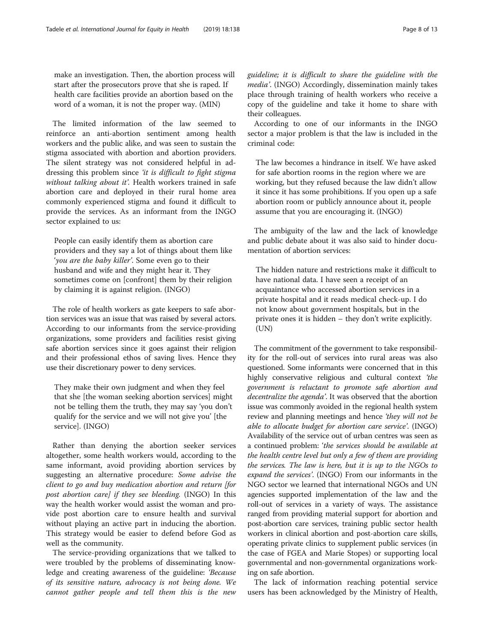make an investigation. Then, the abortion process will start after the prosecutors prove that she is raped. If health care facilities provide an abortion based on the word of a woman, it is not the proper way. (MIN)

The limited information of the law seemed to reinforce an anti-abortion sentiment among health workers and the public alike, and was seen to sustain the stigma associated with abortion and abortion providers. The silent strategy was not considered helpful in addressing this problem since 'it is difficult to fight stigma without talking about it'. Health workers trained in safe abortion care and deployed in their rural home area commonly experienced stigma and found it difficult to provide the services. As an informant from the INGO sector explained to us:

People can easily identify them as abortion care providers and they say a lot of things about them like 'you are the baby killer'. Some even go to their husband and wife and they might hear it. They sometimes come on [confront] them by their religion by claiming it is against religion. (INGO)

The role of health workers as gate keepers to safe abortion services was an issue that was raised by several actors. According to our informants from the service-providing organizations, some providers and facilities resist giving safe abortion services since it goes against their religion and their professional ethos of saving lives. Hence they use their discretionary power to deny services.

They make their own judgment and when they feel that she [the woman seeking abortion services] might not be telling them the truth, they may say 'you don't qualify for the service and we will not give you' [the service]. (INGO)

Rather than denying the abortion seeker services altogether, some health workers would, according to the same informant, avoid providing abortion services by suggesting an alternative procedure: Some advise the client to go and buy medication abortion and return [for post abortion care] if they see bleeding. (INGO) In this way the health worker would assist the woman and provide post abortion care to ensure health and survival without playing an active part in inducing the abortion. This strategy would be easier to defend before God as well as the community.

The service-providing organizations that we talked to were troubled by the problems of disseminating knowledge and creating awareness of the guideline: 'Because of its sensitive nature, advocacy is not being done. We cannot gather people and tell them this is the new guideline; it is difficult to share the guideline with the media'. (INGO) Accordingly, dissemination mainly takes place through training of health workers who receive a copy of the guideline and take it home to share with their colleagues.

According to one of our informants in the INGO sector a major problem is that the law is included in the criminal code:

The law becomes a hindrance in itself. We have asked for safe abortion rooms in the region where we are working, but they refused because the law didn't allow it since it has some prohibitions. If you open up a safe abortion room or publicly announce about it, people assume that you are encouraging it. (INGO)

The ambiguity of the law and the lack of knowledge and public debate about it was also said to hinder documentation of abortion services:

The hidden nature and restrictions make it difficult to have national data. I have seen a receipt of an acquaintance who accessed abortion services in a private hospital and it reads medical check-up. I do not know about government hospitals, but in the private ones it is hidden – they don't write explicitly. (UN)

The commitment of the government to take responsibility for the roll-out of services into rural areas was also questioned. Some informants were concerned that in this highly conservative religious and cultural context 'the government is reluctant to promote safe abortion and decentralize the agenda'. It was observed that the abortion issue was commonly avoided in the regional health system review and planning meetings and hence 'they will not be able to allocate budget for abortion care service'. (INGO) Availability of the service out of urban centres was seen as a continued problem: 'the services should be available at the health centre level but only a few of them are providing the services. The law is here, but it is up to the NGOs to expand the services'. (INGO) From our informants in the NGO sector we learned that international NGOs and UN agencies supported implementation of the law and the roll-out of services in a variety of ways. The assistance ranged from providing material support for abortion and post-abortion care services, training public sector health workers in clinical abortion and post-abortion care skills, operating private clinics to supplement public services (in the case of FGEA and Marie Stopes) or supporting local governmental and non-governmental organizations working on safe abortion.

The lack of information reaching potential service users has been acknowledged by the Ministry of Health,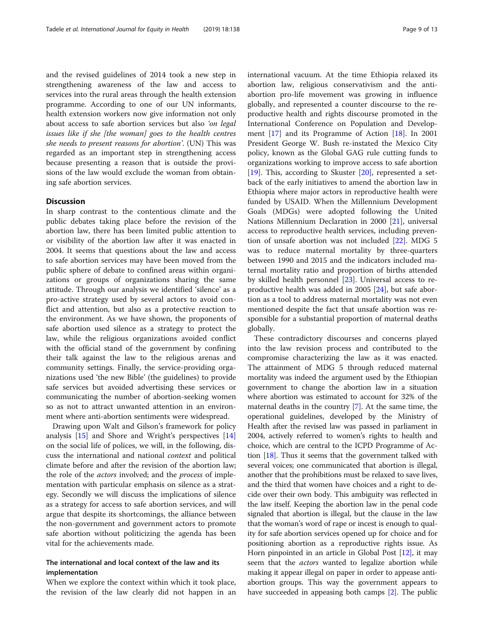and the revised guidelines of 2014 took a new step in strengthening awareness of the law and access to services into the rural areas through the health extension programme. According to one of our UN informants, health extension workers now give information not only about access to safe abortion services but also 'on legal issues like if she [the woman] goes to the health centres she needs to present reasons for abortion'. (UN) This was regarded as an important step in strengthening access because presenting a reason that is outside the provisions of the law would exclude the woman from obtaining safe abortion services.

# **Discussion**

In sharp contrast to the contentious climate and the public debates taking place before the revision of the abortion law, there has been limited public attention to or visibility of the abortion law after it was enacted in 2004. It seems that questions about the law and access to safe abortion services may have been moved from the public sphere of debate to confined areas within organizations or groups of organizations sharing the same attitude. Through our analysis we identified 'silence' as a pro-active strategy used by several actors to avoid conflict and attention, but also as a protective reaction to the environment. As we have shown, the proponents of safe abortion used silence as a strategy to protect the law, while the religious organizations avoided conflict with the official stand of the government by confining their talk against the law to the religious arenas and community settings. Finally, the service-providing organizations used 'the new Bible' (the guidelines) to provide safe services but avoided advertising these services or communicating the number of abortion-seeking women so as not to attract unwanted attention in an environment where anti-abortion sentiments were widespread.

Drawing upon Walt and Gilson's framework for policy analysis [[15\]](#page-12-0) and Shore and Wright's perspectives [[14](#page-12-0)] on the social life of polices, we will, in the following, discuss the international and national context and political climate before and after the revision of the abortion law; the role of the actors involved; and the process of implementation with particular emphasis on silence as a strategy. Secondly we will discuss the implications of silence as a strategy for access to safe abortion services, and will argue that despite its shortcomings, the alliance between the non-government and government actors to promote safe abortion without politicizing the agenda has been vital for the achievements made.

# The international and local context of the law and its implementation

When we explore the context within which it took place, the revision of the law clearly did not happen in an international vacuum. At the time Ethiopia relaxed its abortion law, religious conservativism and the antiabortion pro-life movement was growing in influence globally, and represented a counter discourse to the reproductive health and rights discourse promoted in the International Conference on Population and Development [[17\]](#page-12-0) and its Programme of Action [[18\]](#page-12-0). In 2001 President George W. Bush re-instated the Mexico City policy, known as the Global GAG rule cutting funds to organizations working to improve access to safe abortion [[19\]](#page-12-0). This, according to Skuster [[20](#page-12-0)], represented a setback of the early initiatives to amend the abortion law in Ethiopia where major actors in reproductive health were funded by USAID. When the Millennium Development Goals (MDGs) were adopted following the United Nations Millennium Declaration in 2000 [[21\]](#page-12-0), universal access to reproductive health services, including prevention of unsafe abortion was not included [\[22](#page-12-0)]. MDG 5 was to reduce maternal mortality by three-quarters between 1990 and 2015 and the indicators included maternal mortality ratio and proportion of births attended by skilled health personnel [\[23](#page-12-0)]. Universal access to reproductive health was added in 2005 [[24\]](#page-12-0), but safe abortion as a tool to address maternal mortality was not even mentioned despite the fact that unsafe abortion was responsible for a substantial proportion of maternal deaths globally.

These contradictory discourses and concerns played into the law revision process and contributed to the compromise characterizing the law as it was enacted. The attainment of MDG 5 through reduced maternal mortality was indeed the argument used by the Ethiopian government to change the abortion law in a situation where abortion was estimated to account for 32% of the maternal deaths in the country [[7](#page-12-0)]. At the same time, the operational guidelines, developed by the Ministry of Health after the revised law was passed in parliament in 2004, actively referred to women's rights to health and choice, which are central to the ICPD Programme of Action [\[18\]](#page-12-0). Thus it seems that the government talked with several voices; one communicated that abortion is illegal, another that the prohibitions must be relaxed to save lives, and the third that women have choices and a right to decide over their own body. This ambiguity was reflected in the law itself. Keeping the abortion law in the penal code signaled that abortion is illegal, but the clause in the law that the woman's word of rape or incest is enough to quality for safe abortion services opened up for choice and for positioning abortion as a reproductive rights issue. As Horn pinpointed in an article in Global Post [\[12\]](#page-12-0), it may seem that the *actors* wanted to legalize abortion while making it appear illegal on paper in order to appease antiabortion groups. This way the government appears to have succeeded in appeasing both camps [\[2](#page-12-0)]. The public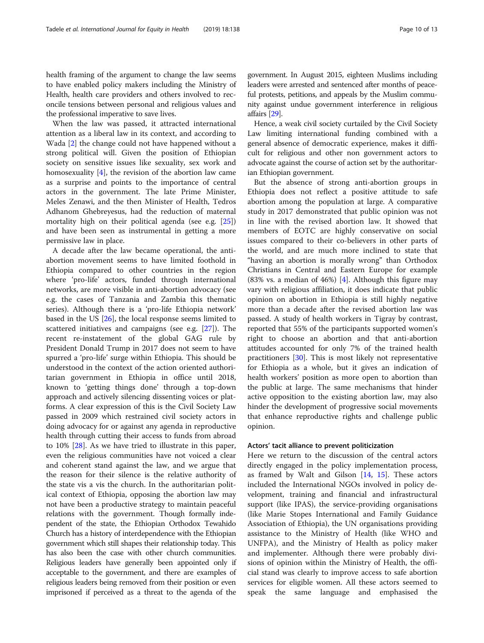health framing of the argument to change the law seems to have enabled policy makers including the Ministry of Health, health care providers and others involved to reconcile tensions between personal and religious values and the professional imperative to save lives.

When the law was passed, it attracted international attention as a liberal law in its context, and according to Wada [[2\]](#page-12-0) the change could not have happened without a strong political will. Given the position of Ethiopian society on sensitive issues like sexuality, sex work and homosexuality [\[4](#page-12-0)], the revision of the abortion law came as a surprise and points to the importance of central actors in the government. The late Prime Minister, Meles Zenawi, and the then Minister of Health, Tedros Adhanom Ghebreyesus, had the reduction of maternal mortality high on their political agenda (see e.g. [\[25](#page-12-0)]) and have been seen as instrumental in getting a more permissive law in place.

A decade after the law became operational, the antiabortion movement seems to have limited foothold in Ethiopia compared to other countries in the region where 'pro-life' actors, funded through international networks, are more visible in anti-abortion advocacy (see e.g. the cases of Tanzania and Zambia this thematic series). Although there is a 'pro-life Ethiopia network' based in the US [[26\]](#page-12-0), the local response seems limited to scattered initiatives and campaigns (see e.g. [\[27](#page-12-0)]). The recent re-instatement of the global GAG rule by President Donald Trump in 2017 does not seem to have spurred a 'pro-life' surge within Ethiopia. This should be understood in the context of the action oriented authoritarian government in Ethiopia in office until 2018, known to 'getting things done' through a top-down approach and actively silencing dissenting voices or platforms. A clear expression of this is the Civil Society Law passed in 2009 which restrained civil society actors in doing advocacy for or against any agenda in reproductive health through cutting their access to funds from abroad to 10% [[28\]](#page-12-0). As we have tried to illustrate in this paper, even the religious communities have not voiced a clear and coherent stand against the law, and we argue that the reason for their silence is the relative authority of the state vis a vis the church. In the authoritarian political context of Ethiopia, opposing the abortion law may not have been a productive strategy to maintain peaceful relations with the government. Though formally independent of the state, the Ethiopian Orthodox Tewahido Church has a history of interdependence with the Ethiopian government which still shapes their relationship today. This has also been the case with other church communities. Religious leaders have generally been appointed only if acceptable to the government, and there are examples of religious leaders being removed from their position or even imprisoned if perceived as a threat to the agenda of the

government. In August 2015, eighteen Muslims including leaders were arrested and sentenced after months of peaceful protests, petitions, and appeals by the Muslim community against undue government interference in religious affairs [[29\]](#page-12-0).

Hence, a weak civil society curtailed by the Civil Society Law limiting international funding combined with a general absence of democratic experience, makes it difficult for religious and other non government actors to advocate against the course of action set by the authoritarian Ethiopian government.

But the absence of strong anti-abortion groups in Ethiopia does not reflect a positive attitude to safe abortion among the population at large. A comparative study in 2017 demonstrated that public opinion was not in line with the revised abortion law. It showed that members of EOTC are highly conservative on social issues compared to their co-believers in other parts of the world, and are much more inclined to state that "having an abortion is morally wrong" than Orthodox Christians in Central and Eastern Europe for example (83% vs. a median of 46%) [[4\]](#page-12-0). Although this figure may vary with religious affiliation, it does indicate that public opinion on abortion in Ethiopia is still highly negative more than a decade after the revised abortion law was passed. A study of health workers in Tigray by contrast, reported that 55% of the participants supported women's right to choose an abortion and that anti-abortion attitudes accounted for only 7% of the trained health practitioners [\[30](#page-12-0)]. This is most likely not representative for Ethiopia as a whole, but it gives an indication of health workers' position as more open to abortion than the public at large. The same mechanisms that hinder active opposition to the existing abortion law, may also hinder the development of progressive social movements that enhance reproductive rights and challenge public opinion.

# Actors' tacit alliance to prevent politicization

Here we return to the discussion of the central actors directly engaged in the policy implementation process, as framed by Walt and Gilson  $[14, 15]$  $[14, 15]$  $[14, 15]$ . These actors included the International NGOs involved in policy development, training and financial and infrastructural support (like IPAS), the service-providing organisations (like Marie Stopes International and Family Guidance Association of Ethiopia), the UN organisations providing assistance to the Ministry of Health (like WHO and UNFPA), and the Ministry of Health as policy maker and implementer. Although there were probably divisions of opinion within the Ministry of Health, the official stand was clearly to improve access to safe abortion services for eligible women. All these actors seemed to speak the same language and emphasised the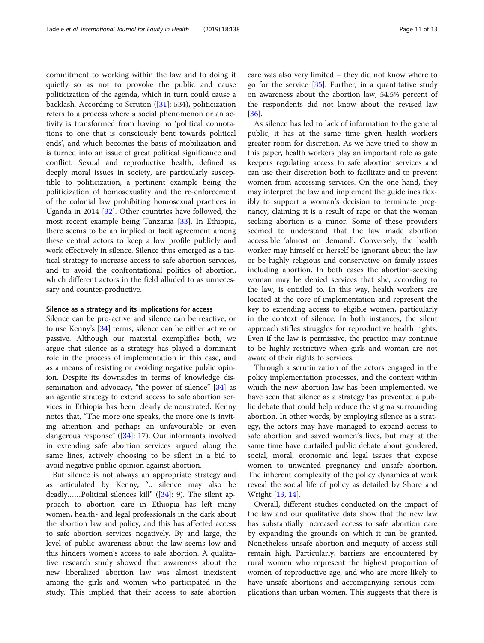commitment to working within the law and to doing it quietly so as not to provoke the public and cause politicization of the agenda, which in turn could cause a backlash. According to Scruton  $([31]: 534)$  $([31]: 534)$  $([31]: 534)$ , politicization refers to a process where a social phenomenon or an activity is transformed from having no 'political connotations to one that is consciously bent towards political ends', and which becomes the basis of mobilization and is turned into an issue of great political significance and conflict. Sexual and reproductive health, defined as deeply moral issues in society, are particularly susceptible to politicization, a pertinent example being the politicization of homosexuality and the re-enforcement of the colonial law prohibiting homosexual practices in Uganda in 2014 [[32](#page-12-0)]. Other countries have followed, the most recent example being Tanzania [[33\]](#page-12-0). In Ethiopia, there seems to be an implied or tacit agreement among these central actors to keep a low profile publicly and work effectively in silence. Silence thus emerged as a tactical strategy to increase access to safe abortion services, and to avoid the confrontational politics of abortion, which different actors in the field alluded to as unnecessary and counter-productive.

# Silence as a strategy and its implications for access

Silence can be pro-active and silence can be reactive, or to use Kenny's [\[34\]](#page-12-0) terms, silence can be either active or passive. Although our material exemplifies both, we argue that silence as a strategy has played a dominant role in the process of implementation in this case, and as a means of resisting or avoiding negative public opinion. Despite its downsides in terms of knowledge dis-semination and advocacy, "the power of silence" [[34](#page-12-0)] as an agentic strategy to extend access to safe abortion services in Ethiopia has been clearly demonstrated. Kenny notes that, "The more one speaks, the more one is inviting attention and perhaps an unfavourable or even dangerous response" ([\[34](#page-12-0)]: 17). Our informants involved in extending safe abortion services argued along the same lines, actively choosing to be silent in a bid to avoid negative public opinion against abortion.

But silence is not always an appropriate strategy and as articulated by Kenny, ".. silence may also be deadly……Political silences kill" ([\[34\]](#page-12-0): 9). The silent approach to abortion care in Ethiopia has left many women, health- and legal professionals in the dark about the abortion law and policy, and this has affected access to safe abortion services negatively. By and large, the level of public awareness about the law seems low and this hinders women's access to safe abortion. A qualitative research study showed that awareness about the new liberalized abortion law was almost inexistent among the girls and women who participated in the study. This implied that their access to safe abortion care was also very limited – they did not know where to go for the service  $[35]$  $[35]$ . Further, in a quantitative study on awareness about the abortion law, 54.5% percent of the respondents did not know about the revised law [[36\]](#page-12-0).

As silence has led to lack of information to the general public, it has at the same time given health workers greater room for discretion. As we have tried to show in this paper, health workers play an important role as gate keepers regulating access to safe abortion services and can use their discretion both to facilitate and to prevent women from accessing services. On the one hand, they may interpret the law and implement the guidelines flexibly to support a woman's decision to terminate pregnancy, claiming it is a result of rape or that the woman seeking abortion is a minor. Some of these providers seemed to understand that the law made abortion accessible 'almost on demand'. Conversely, the health worker may himself or herself be ignorant about the law or be highly religious and conservative on family issues including abortion. In both cases the abortion-seeking woman may be denied services that she, according to the law, is entitled to. In this way, health workers are located at the core of implementation and represent the key to extending access to eligible women, particularly in the context of silence. In both instances, the silent approach stifles struggles for reproductive health rights. Even if the law is permissive, the practice may continue to be highly restrictive when girls and woman are not aware of their rights to services.

Through a scrutinization of the actors engaged in the policy implementation processes, and the context within which the new abortion law has been implemented, we have seen that silence as a strategy has prevented a public debate that could help reduce the stigma surrounding abortion. In other words, by employing silence as a strategy, the actors may have managed to expand access to safe abortion and saved women's lives, but may at the same time have curtailed public debate about gendered, social, moral, economic and legal issues that expose women to unwanted pregnancy and unsafe abortion. The inherent complexity of the policy dynamics at work reveal the social life of policy as detailed by Shore and Wright [\[13](#page-12-0), [14\]](#page-12-0).

Overall, different studies conducted on the impact of the law and our qualitative data show that the new law has substantially increased access to safe abortion care by expanding the grounds on which it can be granted. Nonetheless unsafe abortion and inequity of access still remain high. Particularly, barriers are encountered by rural women who represent the highest proportion of women of reproductive age, and who are more likely to have unsafe abortions and accompanying serious complications than urban women. This suggests that there is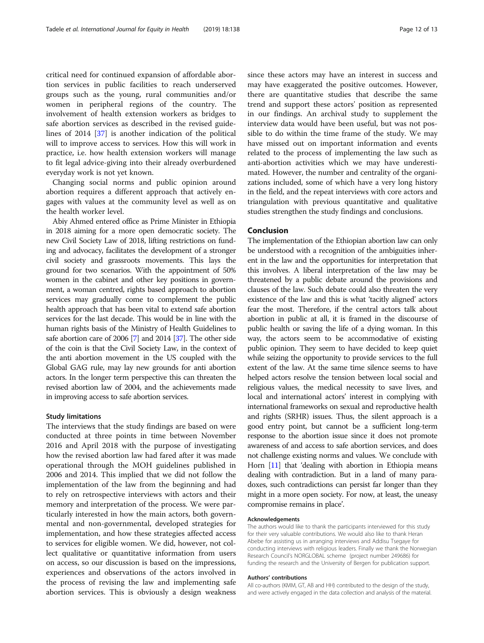critical need for continued expansion of affordable abortion services in public facilities to reach underserved groups such as the young, rural communities and/or women in peripheral regions of the country. The involvement of health extension workers as bridges to safe abortion services as described in the revised guidelines of 2014 [\[37](#page-12-0)] is another indication of the political will to improve access to services. How this will work in practice, i.e. how health extension workers will manage to fit legal advice-giving into their already overburdened everyday work is not yet known.

Changing social norms and public opinion around abortion requires a different approach that actively engages with values at the community level as well as on the health worker level.

Abiy Ahmed entered office as Prime Minister in Ethiopia in 2018 aiming for a more open democratic society. The new Civil Society Law of 2018, lifting restrictions on funding and advocacy, facilitates the development of a stronger civil society and grassroots movements. This lays the ground for two scenarios. With the appointment of 50% women in the cabinet and other key positions in government, a woman centred, rights based approach to abortion services may gradually come to complement the public health approach that has been vital to extend safe abortion services for the last decade. This would be in line with the human rights basis of the Ministry of Health Guidelines to safe abortion care of 2006 [[7](#page-12-0)] and 2014 [\[37\]](#page-12-0). The other side of the coin is that the Civil Society Law, in the context of the anti abortion movement in the US coupled with the Global GAG rule, may lay new grounds for anti abortion actors. In the longer term perspective this can threaten the revised abortion law of 2004, and the achievements made in improving access to safe abortion services.

# Study limitations

The interviews that the study findings are based on were conducted at three points in time between November 2016 and April 2018 with the purpose of investigating how the revised abortion law had fared after it was made operational through the MOH guidelines published in 2006 and 2014. This implied that we did not follow the implementation of the law from the beginning and had to rely on retrospective interviews with actors and their memory and interpretation of the process. We were particularly interested in how the main actors, both governmental and non-governmental, developed strategies for implementation, and how these strategies affected access to services for eligible women. We did, however, not collect qualitative or quantitative information from users on access, so our discussion is based on the impressions, experiences and observations of the actors involved in the process of revising the law and implementing safe abortion services. This is obviously a design weakness since these actors may have an interest in success and may have exaggerated the positive outcomes. However, there are quantitative studies that describe the same trend and support these actors' position as represented in our findings. An archival study to supplement the interview data would have been useful, but was not possible to do within the time frame of the study. We may have missed out on important information and events related to the process of implementing the law such as anti-abortion activities which we may have underestimated. However, the number and centrality of the organizations included, some of which have a very long history in the field, and the repeat interviews with core actors and triangulation with previous quantitative and qualitative studies strengthen the study findings and conclusions.

# Conclusion

The implementation of the Ethiopian abortion law can only be understood with a recognition of the ambiguities inherent in the law and the opportunities for interpretation that this involves. A liberal interpretation of the law may be threatened by a public debate around the provisions and clauses of the law. Such debate could also threaten the very existence of the law and this is what 'tacitly aligned' actors fear the most. Therefore, if the central actors talk about abortion in public at all, it is framed in the discourse of public health or saving the life of a dying woman. In this way, the actors seem to be accommodative of existing public opinion. They seem to have decided to keep quiet while seizing the opportunity to provide services to the full extent of the law. At the same time silence seems to have helped actors resolve the tension between local social and religious values, the medical necessity to save lives, and local and international actors' interest in complying with international frameworks on sexual and reproductive health and rights (SRHR) issues. Thus, the silent approach is a good entry point, but cannot be a sufficient long-term response to the abortion issue since it does not promote awareness of and access to safe abortion services, and does not challenge existing norms and values. We conclude with Horn [\[11\]](#page-12-0) that 'dealing with abortion in Ethiopia means dealing with contradiction. But in a land of many paradoxes, such contradictions can persist far longer than they might in a more open society. For now, at least, the uneasy compromise remains in place'.

#### Acknowledgements

The authors would like to thank the participants interviewed for this study for their very valuable contributions. We would also like to thank Heran Abebe for assisting us in arranging interviews and Addisu Tsegaye for conducting interviews with religious leaders. Finally we thank the Norwegian Research Council's NORGLOBAL scheme (project number 249686) for funding the research and the University of Bergen for publication support.

#### Authors' contributions

All co-authors (KMM, GT, AB and HH) contributed to the design of the study, and were actively engaged in the data collection and analysis of the material.